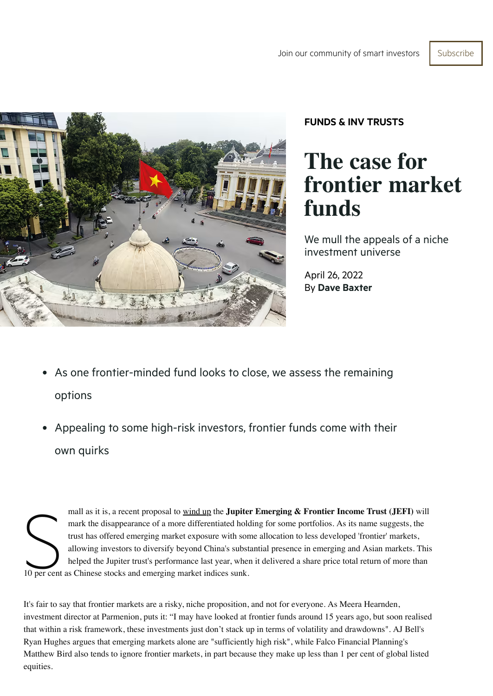

#### FUNDS & INV [TRUSTS](https://www.investorschronicle.co.uk/funds-and-investment-trusts/)

# **The case for frontier market funds**

We mull the appeals of a niche investment universe

April 26, 2022 By Dave [Baxter](https://www.investorschronicle.co.uk/Dave-Baxter/)

- As one frontier-minded fund looks to close, we assess the remaining options
- Appealing to some high-risk investors, frontier funds come with their own quirks

manus<br>Supply all the distribution of the same of the same of the same of the same of the same of the same of the same of the same of the same of the same of the same of the same of the same of the same of the same of the s mall as it is, a recent proposal to [wind up](https://www.investorschronicle.co.uk/news/2022/03/10/jupiter-em-trust-seeks-to-wind-up-on-size-concerns/) the **Jupiter Emerging & Frontier Income Trust (JEFI)** will mark the disappearance of a more differentiated holding for some portfolios. As its name suggests, the trust has offered emerging market exposure with some allocation to less developed 'frontier' markets, allowing investors to diversify beyond China's substantial presence in emerging and Asian markets. This helped the Jupiter trust's performance last year, when it delivered a share price total return of more than 10 per cent as Chinese stocks and emerging market indices sunk.

It's fair to say that frontier markets are a risky, niche proposition, and not for everyone. As Meera Hearnden, investment director at Parmenion, puts it: "I may have looked at frontier funds around 15 years ago, but soon realised that within a risk framework, these investments just don't stack up in terms of volatility and drawdowns". AJ Bell's Ryan Hughes argues that emerging markets alone are "sufficiently high risk", while Falco Financial Planning's Matthew Bird also tends to ignore frontier markets, in part because they make up less than 1 per cent of global listed equities.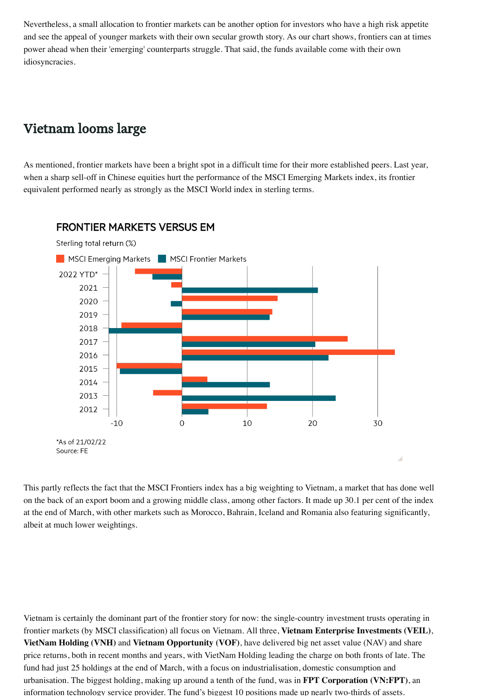Nevertheless, a small allocation to frontier markets can be another option for investors who have a high risk appetite and see the appeal of younger markets with their own secular growth story. As our chart shows, frontiers can at times power ahead when their 'emerging' counterparts struggle. That said, the funds available come with their own idiosyncracies.

## Vietnam looms large

As mentioned, frontier markets have been a bright spot in a difficult time for their more established peers. Last year, when a sharp sell-off in Chinese equities hurt the performance of the MSCI Emerging Markets index, its frontier equivalent performed nearly as strongly as the MSCI World index in sterling terms.



## **FRONTIER MARKETS VERSUS EM**

This partly reflects the fact that the MSCI Frontiers index has a big weighting to Vietnam, a market that has done well on the back of an export boom and a growing middle class, among other factors. It made up 30.1 per cent of the index at the end of March, with other markets such as Morocco, Bahrain, Iceland and Romania also featuring significantly, albeit at much lower weightings.

Vietnam is certainly the dominant part of the frontier story for now: the single-country investment trusts operating in frontier markets (by MSCI classification) all focus on Vietnam. All three, **Vietnam Enterprise Investments (VEIL)**, **VietNam Holding (VNH)** and **Vietnam Opportunity (VOF)**, have delivered big net asset value (NAV) and share price returns, both in recent months and years, with VietNam Holding leading the charge on both fronts of late. The fund had just 25 holdings at the end of March, with a focus on industrialisation, domestic consumption and urbanisation. The biggest holding, making up around a tenth of the fund, was in **FPT Corporation (VN:FPT)**, an information technology service provider. The fund's biggest 10 positions made up nearly two-thirds of assets.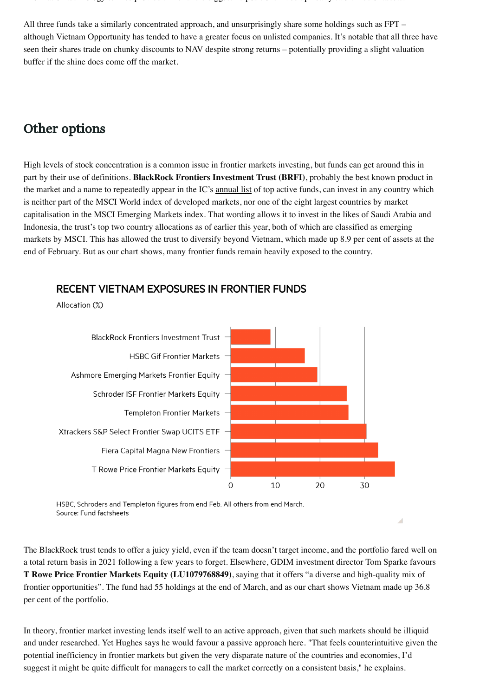information technology services provider. The fund significations made up nearly two thirds  $\sim$ 

All three funds take a similarly concentrated approach, and unsurprisingly share some holdings such as FPT – although Vietnam Opportunity has tended to have a greater focus on unlisted companies. It's notable that all three have seen their shares trade on chunky discounts to NAV despite strong returns – potentially providing a slight valuation buffer if the shine does come off the market.

# Other options

Allocation (%)

High levels of stock concentration is a common issue in frontier markets investing, but funds can get around this in part by their use of definitions. **BlackRock Frontiers Investment Trust (BRFI)**, probably the best known product in the market and a name to repeatedly appear in the IC's [annual list](https://www.investorschronicle.co.uk/ideas/2021/09/09/top-50-funds-2021-emerging-markets/) of top active funds, can invest in any country which is neither part of the MSCI World index of developed markets, nor one of the eight largest countries by market capitalisation in the MSCI Emerging Markets index. That wording allows it to invest in the likes of Saudi Arabia and Indonesia, the trust's top two country allocations as of earlier this year, both of which are classified as emerging markets by MSCI. This has allowed the trust to diversify beyond Vietnam, which made up 8.9 per cent of assets at the end of February. But as our chart shows, many frontier funds remain heavily exposed to the country.



### **RECENT VIETNAM EXPOSURES IN FRONTIER FUNDS**

HSBC, Schroders and Templeton figures from end Feb. All others from end March. Source: Fund factsheets

The BlackRock trust tends to offer a juicy yield, even if the team doesn't target income, and the portfolio fared well on a total return basis in 2021 following a few years to forget. Elsewhere, GDIM investment director Tom Sparke favours **T Rowe Price Frontier Markets Equity (LU1079768849)**, saying that it offers "a diverse and high-quality mix of frontier opportunities". The fund had 55 holdings at the end of March, and as our chart shows Vietnam made up 36.8 per cent of the portfolio.

In theory, frontier market investing lends itself well to an active approach, given that such markets should be illiquid and under researched. Yet Hughes says he would favour a passive approach here. "That feels counterintuitive given the potential inefficiency in frontier markets but given the very disparate nature of the countries and economies, I'd suggest it might be quite difficult for managers to call the market correctly on a consistent basis," he explains.